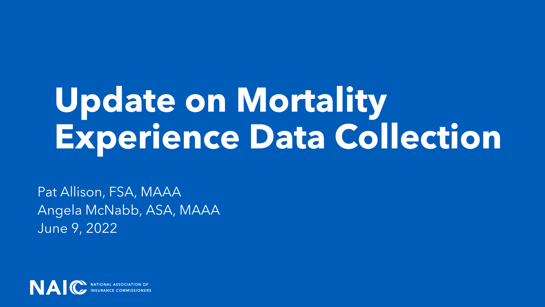# **Update on Mortality Experience Data Collection**

Pat Allison, FSA, MAAA Angela McNabb, ASA, MAAA June 9, 2022

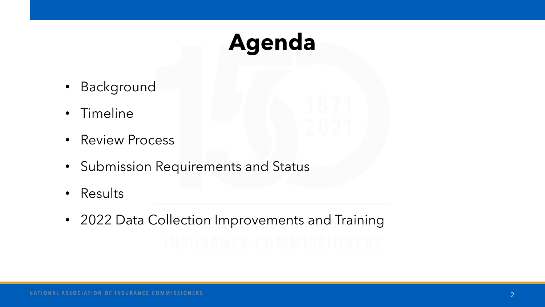## **Agenda**

- **Background**
- Timeline
- Review Process
- Submission Requirements and Status
- **Results**
- 2022 Data Collection Improvements and Training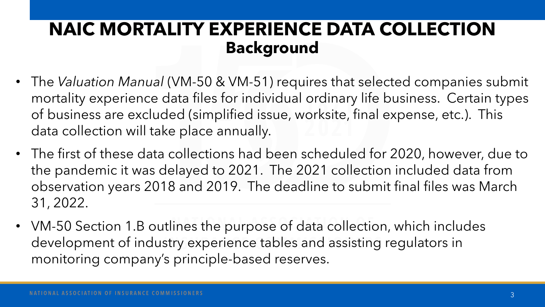### **NAIC MORTALITY EXPERIENCE DATA COLLECTION Background**

- The *Valuation Manual* (VM-50 & VM-51) requires that selected companies submit mortality experience data files for individual ordinary life business. Certain types of business are excluded (simplified issue, worksite, final expense, etc.). This data collection will take place annually.
- The first of these data collections had been scheduled for 2020, however, due to the pandemic it was delayed to 2021. The 2021 collection included data from observation years 2018 and 2019. The deadline to submit final files was March 31, 2022.
- VM-50 Section 1.B outlines the purpose of data collection, which includes development of industry experience tables and assisting regulators in monitoring company's principle-based reserves.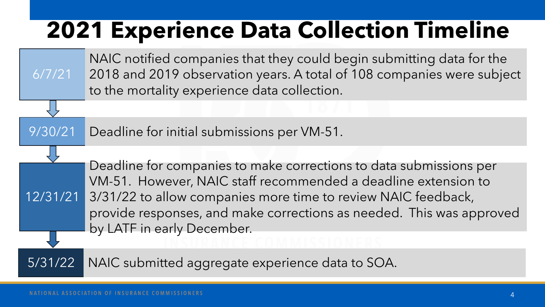## **2021 Experience Data Collection Timeline**

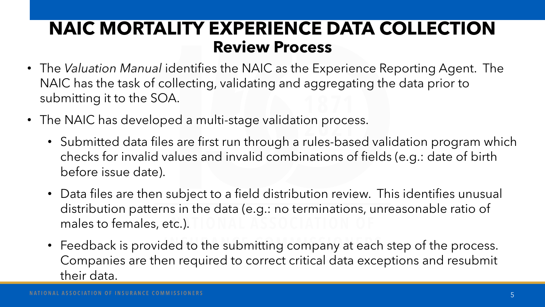#### **NAIC MORTALITY EXPERIENCE DATA COLLECTION Review Process**

- The *Valuation Manual* identifies the NAIC as the Experience Reporting Agent. The NAIC has the task of collecting, validating and aggregating the data prior to submitting it to the SOA.
- The NAIC has developed a multi-stage validation process.
	- Submitted data files are first run through a rules-based validation program which checks for invalid values and invalid combinations of fields (e.g.: date of birth before issue date).
	- Data files are then subject to a field distribution review. This identifies unusual distribution patterns in the data (e.g.: no terminations, unreasonable ratio of males to females, etc.).
	- Feedback is provided to the submitting company at each step of the process. Companies are then required to correct critical data exceptions and resubmit their data.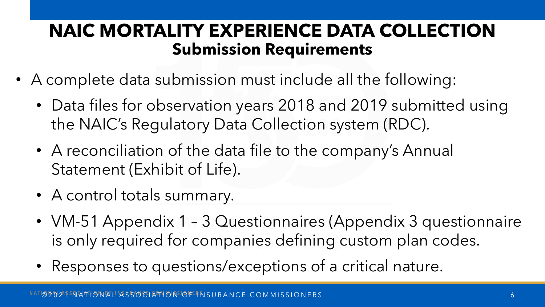### **NAIC MORTALITY EXPERIENCE DATA COLLECTION Submission Requirements**

- A complete data submission must include all the following:
	- Data files for observation years 2018 and 2019 submitted using the NAIC's Regulatory Data Collection system (RDC).
	- A reconciliation of the data file to the company's Annual Statement (Exhibit of Life).
	- A control totals summary.
	- VM-51 Appendix 1 3 Questionnaires (Appendix 3 questionnaire is only required for companies defining custom plan codes.
	- Responses to questions/exceptions of a critical nature.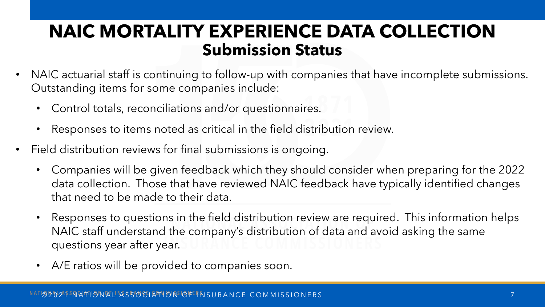#### **NAIC MORTALITY EXPERIENCE DATA COLLECTION Submission Status**

- NAIC actuarial staff is continuing to follow-up with companies that have incomplete submissions. Outstanding items for some companies include:
	- Control totals, reconciliations and/or questionnaires.
	- Responses to items noted as critical in the field distribution review.
- Field distribution reviews for final submissions is ongoing.
	- Companies will be given feedback which they should consider when preparing for the 2022 data collection. Those that have reviewed NAIC feedback have typically identified changes that need to be made to their data.
	- Responses to questions in the field distribution review are required. This information helps NAIC staff understand the company's distribution of data and avoid asking the same questions year after year.
	- A/E ratios will be provided to companies soon.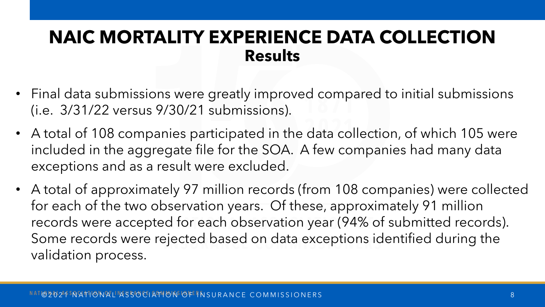#### **NAIC MORTALITY EXPERIENCE DATA COLLECTION Results**

- Final data submissions were greatly improved compared to initial submissions (i.e. 3/31/22 versus 9/30/21 submissions).
- A total of 108 companies participated in the data collection, of which 105 were included in the aggregate file for the SOA. A few companies had many data exceptions and as a result were excluded.
- A total of approximately 97 million records (from 108 companies) were collected for each of the two observation years. Of these, approximately 91 million records were accepted for each observation year (94% of submitted records). Some records were rejected based on data exceptions identified during the validation process.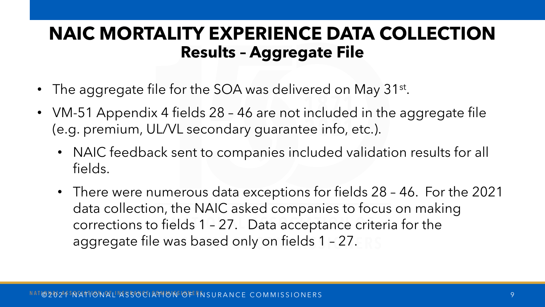#### **NAIC MORTALITY EXPERIENCE DATA COLLECTION Results – Aggregate File**

- The aggregate file for the SOA was delivered on May 31<sup>st</sup>.
- VM-51 Appendix 4 fields 28 46 are not included in the aggregate file (e.g. premium, UL/VL secondary guarantee info, etc.).
	- NAIC feedback sent to companies included validation results for all fields.
	- There were numerous data exceptions for fields 28 46. For the 2021 data collection, the NAIC asked companies to focus on making corrections to fields 1 – 27. Data acceptance criteria for the aggregate file was based only on fields 1 – 27.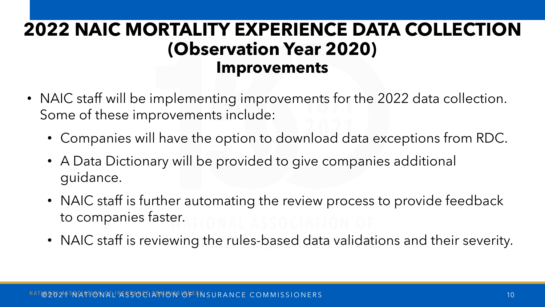### **2022 NAIC MORTALITY EXPERIENCE DATA COLLECTION (Observation Year 2020) Improvements**

- NAIC staff will be implementing improvements for the 2022 data collection. Some of these improvements include:
	- Companies will have the option to download data exceptions from RDC.
	- A Data Dictionary will be provided to give companies additional guidance.
	- NAIC staff is further automating the review process to provide feedback to companies faster.
	- NAIC staff is reviewing the rules-based data validations and their severity.